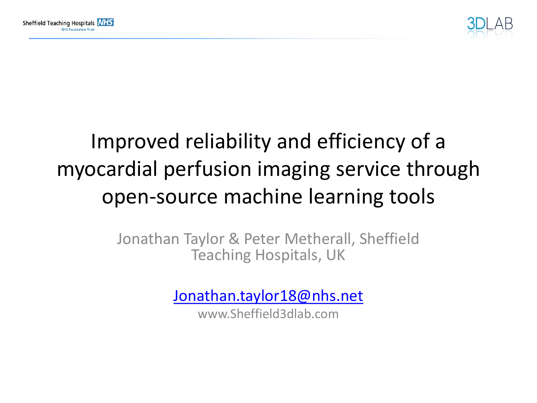



# Improved reliability and efficiency of a myocardial perfusion imaging service through open-source machine learning tools

Jonathan Taylor & Peter Metherall, Sheffield Teaching Hospitals, UK

[Jonathan.taylor18@nhs.net](mailto:Jonathan.taylor18@nhs.net)

www.Sheffield3dlab.com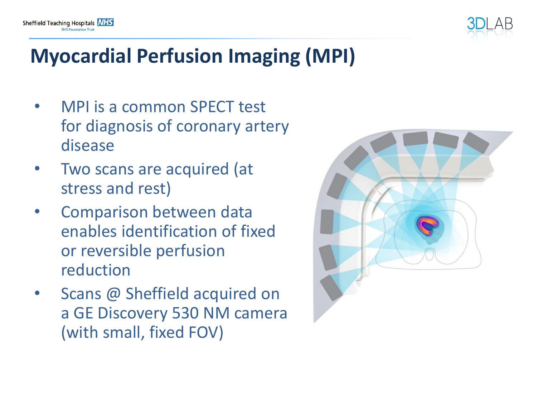



# **Myocardial Perfusion Imaging (MPI)**

- MPI is a common SPECT test for diagnosis of coronary artery disease
- Two scans are acquired (at stress and rest)
- Comparison between data enables identification of fixed or reversible perfusion reduction
- Scans @ Sheffield acquired on a GE Discovery 530 NM camera (with small, fixed FOV)

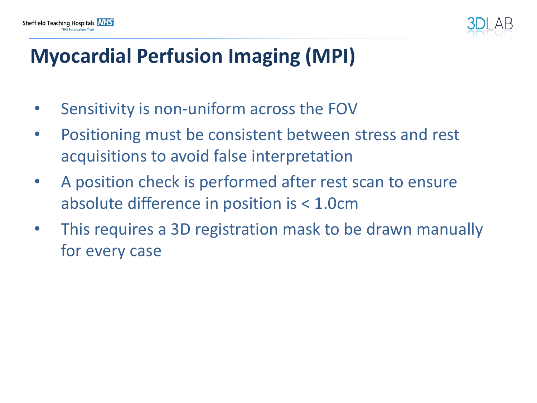

# **Myocardial Perfusion Imaging (MPI)**

- Sensitivity is non-uniform across the FOV
- Positioning must be consistent between stress and rest acquisitions to avoid false interpretation
- A position check is performed after rest scan to ensure absolute difference in position is < 1.0cm
- This requires a 3D registration mask to be drawn manually for every case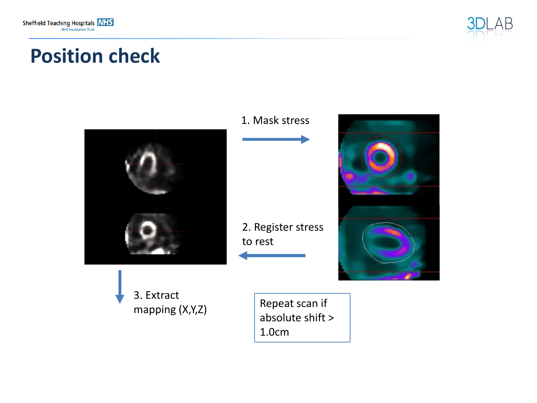

### **Position check**

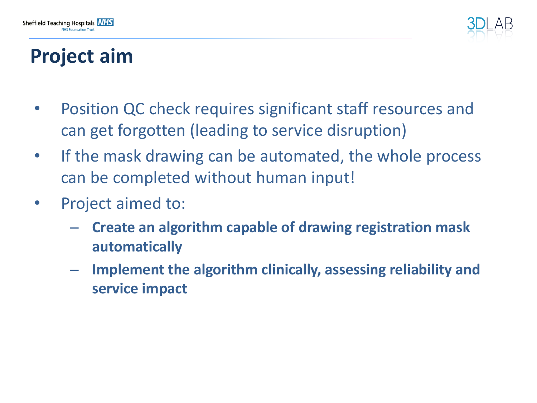



### **Project aim**

- Position QC check requires significant staff resources and can get forgotten (leading to service disruption)
- If the mask drawing can be automated, the whole process can be completed without human input!
- Project aimed to:
	- **Create an algorithm capable of drawing registration mask automatically**
	- **Implement the algorithm clinically, assessing reliability and service impact**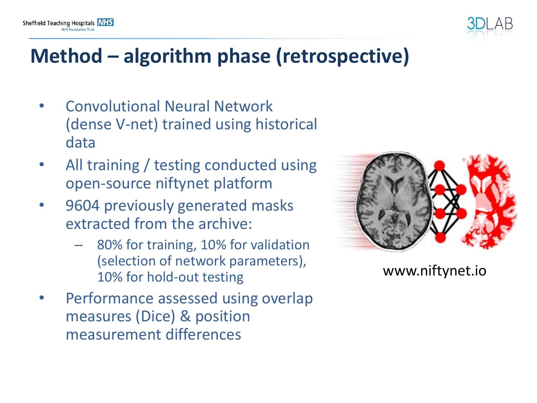



## **Method – algorithm phase (retrospective)**

- Convolutional Neural Network (dense V-net) trained using historical data
- All training / testing conducted using open-source niftynet platform
- 9604 previously generated masks extracted from the archive:
	- 80% for training, 10% for validation (selection of network parameters), 10% for hold-out testing
- Performance assessed using overlap measures (Dice) & position measurement differences



www.niftynet.io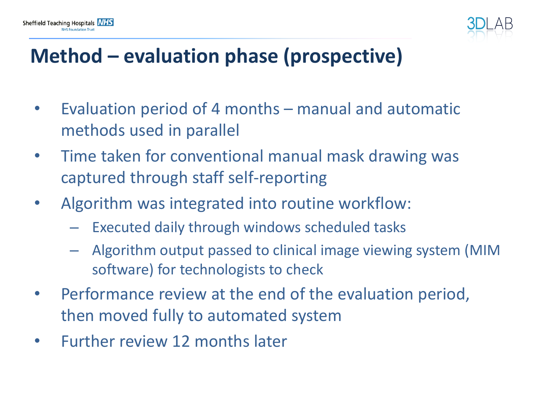

# **Method – evaluation phase (prospective)**

- Evaluation period of 4 months manual and automatic methods used in parallel
- Time taken for conventional manual mask drawing was captured through staff self-reporting
- Algorithm was integrated into routine workflow:
	- Executed daily through windows scheduled tasks
	- Algorithm output passed to clinical image viewing system (MIM software) for technologists to check
- Performance review at the end of the evaluation period, then moved fully to automated system
- Further review 12 months later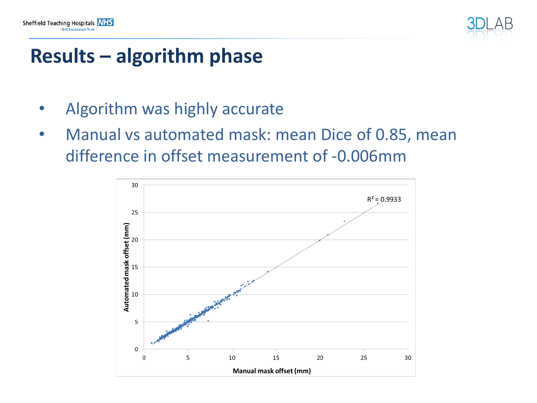

#### **Results – algorithm phase**

- Algorithm was highly accurate
- Manual vs automated mask: mean Dice of 0.85, mean difference in offset measurement of -0.006mm

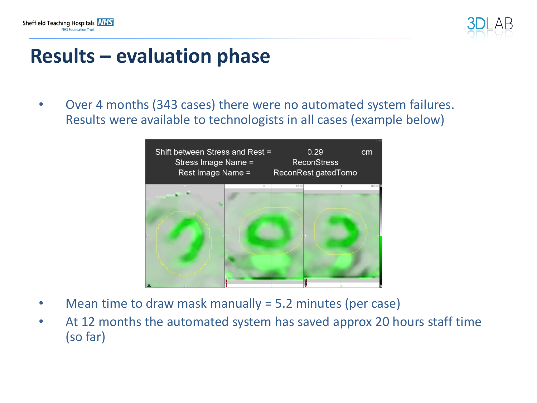



#### **Results – evaluation phase**

• Over 4 months (343 cases) there were no automated system failures. Results were available to technologists in all cases (example below)



- Mean time to draw mask manually  $= 5.2$  minutes (per case)
- At 12 months the automated system has saved approx 20 hours staff time (so far)